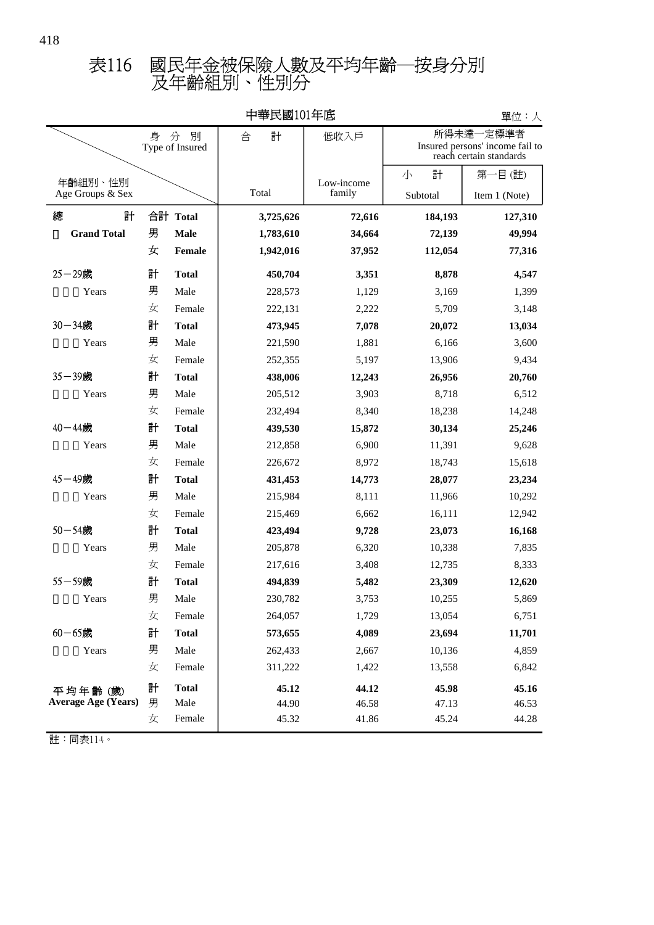|                             |   |                           | 7231V1 L  |                      |                                                                             | 牛匹・八          |
|-----------------------------|---|---------------------------|-----------|----------------------|-----------------------------------------------------------------------------|---------------|
|                             | 身 | 別<br>分<br>Type of Insured | 計<br>合    | 低收入戶                 | 一定標準者<br>所得未達<br>Insured persons' income fail to<br>reach certain standards |               |
|                             |   |                           |           |                      | 計<br>小                                                                      | 第一目(註)        |
| 年齡組別、性別<br>Age Groups & Sex |   |                           | Total     | Low-income<br>family | Subtotal                                                                    | Item 1 (Note) |
| 總<br>計                      |   | 合計 Total                  | 3,725,626 | 72,616               | 184,193                                                                     | 127,310       |
| <b>Grand Total</b>          | 男 | <b>Male</b>               | 1,783,610 | 34,664               | 72,139                                                                      | 49,994        |
|                             | 女 | <b>Female</b>             | 1,942,016 | 37,952               | 112,054                                                                     | 77,316        |
| $25 - 29$ 歲                 | 計 | <b>Total</b>              | 450,704   | 3,351                | 8,878                                                                       | 4,547         |
| Years                       | 男 | Male                      | 228,573   | 1,129                | 3,169                                                                       | 1,399         |
|                             | 女 | Female                    | 222,131   | 2,222                | 5,709                                                                       | 3,148         |
| 30-34歲                      | 計 | <b>Total</b>              | 473,945   | 7,078                | 20,072                                                                      | 13,034        |
| Years                       | 男 | Male                      | 221,590   | 1,881                | 6,166                                                                       | 3,600         |
|                             | 女 | Female                    | 252,355   | 5,197                | 13,906                                                                      | 9,434         |
| 35-39歲                      | 計 | <b>Total</b>              | 438,006   | 12,243               | 26,956                                                                      | 20,760        |
| Years                       | 男 | Male                      | 205,512   | 3,903                | 8,718                                                                       | 6,512         |
|                             | 女 | Female                    | 232,494   | 8,340                | 18,238                                                                      | 14,248        |
| 40-44歲                      | 計 | <b>Total</b>              | 439,530   | 15,872               | 30,134                                                                      | 25,246        |
| Years                       | 男 | Male                      | 212,858   | 6,900                | 11,391                                                                      | 9,628         |
|                             | 女 | Female                    | 226,672   | 8,972                | 18,743                                                                      | 15,618        |
| 45-49歲                      | 計 | <b>Total</b>              | 431,453   | 14,773               | 28,077                                                                      | 23,234        |
| Years                       | 男 | Male                      | 215,984   | 8,111                | 11,966                                                                      | 10,292        |
|                             | 女 | Female                    | 215,469   | 6,662                | 16,111                                                                      | 12,942        |
| $50 - 54$ 歲                 | 計 | <b>Total</b>              | 423,494   | 9,728                | 23,073                                                                      | 16,168        |
| Years                       | 男 | Male                      | 205,878   | 6,320                | 10,338                                                                      | 7,835         |
|                             | 女 | Female                    | 217,616   | 3,408                | 12,735                                                                      | 8,333         |
| 55-59歲                      | 計 | <b>Total</b>              | 494,839   | 5,482                | 23,309                                                                      | 12,620        |
| Years                       | 男 | Male                      | 230,782   | 3,753                | 10,255                                                                      | 5,869         |
|                             | 女 | Female                    | 264,057   | 1,729                | 13,054                                                                      | 6,751         |
| $60 - 65$ 歲                 | 計 | <b>Total</b>              | 573,655   | 4,089                | 23,694                                                                      | 11,701        |
| Years                       | 男 | Male                      | 262,433   | 2,667                | 10,136                                                                      | 4,859         |
|                             | 女 | Female                    | 311,222   | 1,422                | 13,558                                                                      | 6,842         |
| 平均年齡(歲)                     | 計 | <b>Total</b>              | 45.12     | 44.12                | 45.98                                                                       | 45.16         |
| <b>Average Age (Years)</b>  | 男 | Male                      | 44.90     | 46.58                | 47.13                                                                       | 46.53         |
|                             | 女 | Female                    | 45.32     | 41.86                | 45.24                                                                       | 44.28         |

中華民國101年底

單位:人

同表114。 註: